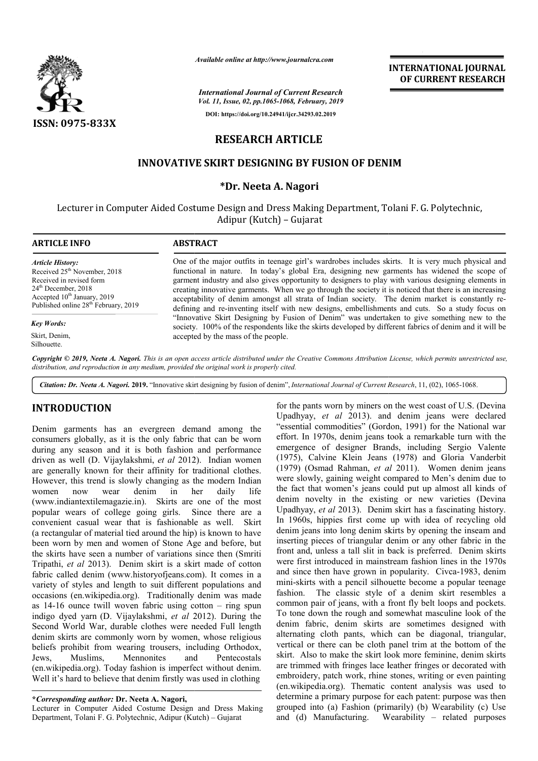

*Available online at http://www.journalcra.com*

*International Journal of Current Research Vol. 11, Issue, 02, pp.1065-1068, February, 2019* **DOI: https://doi.org/10.24941/ijcr.34293.02.2019**

**INTERNATIONAL JOURNAL OF CURRENT RESEARCH**

# **RESEARCH ARTICLE**

## **INNOVATIVE SKIRT DES DESIGNING BY FUSION OF DENIM**

#### **\*Dr. Neeta A. Nagori**

Lecturer in Computer Aided Costume Design and Dress Making Department, Tolani F. G. Polytechnic, Adipur (Kutch) – Gujarat

| <b>ARTICLE INFO</b>                                                                                                                                                                                           | <b>ABSTRACT</b>                                                                                                                                                                                                                                                                                                                                                                                                                                                                                                                                                                                                                                                                                                                                                                                                                                                            |
|---------------------------------------------------------------------------------------------------------------------------------------------------------------------------------------------------------------|----------------------------------------------------------------------------------------------------------------------------------------------------------------------------------------------------------------------------------------------------------------------------------------------------------------------------------------------------------------------------------------------------------------------------------------------------------------------------------------------------------------------------------------------------------------------------------------------------------------------------------------------------------------------------------------------------------------------------------------------------------------------------------------------------------------------------------------------------------------------------|
| <b>Article History:</b><br>Received 25 <sup>th</sup> November, 2018<br>Received in revised form<br>$24th$ December, 2018<br>Accepted $10th$ January, 2019<br>Published online 28 <sup>th</sup> February, 2019 | One of the major outfits in teenage girl's wardrobes includes skirts. It is very much physical and<br>functional in nature. In today's global Era, designing new garments has widened the scope of<br>garment industry and also gives opportunity to designers to play with various designing elements in<br>creating innovative garments. When we go through the society it is noticed that there is an increasing<br>acceptability of denim amongst all strata of Indian society. The denim market is constantly re-<br>defining and re-inventing itself with new designs, embellishments and cuts. So a study focus on<br>"Innovative Skirt Designing by Fusion of Denim" was undertaken to give something new to the<br>society. 100% of the respondents like the skirts developed by different fabrics of denim and it will be<br>accepted by the mass of the people. |
| <b>Key Words:</b>                                                                                                                                                                                             |                                                                                                                                                                                                                                                                                                                                                                                                                                                                                                                                                                                                                                                                                                                                                                                                                                                                            |
| Skirt, Denim,<br>Silhouette.                                                                                                                                                                                  |                                                                                                                                                                                                                                                                                                                                                                                                                                                                                                                                                                                                                                                                                                                                                                                                                                                                            |
|                                                                                                                                                                                                               | Copyright © 2019, Neeta A. Nagori. This is an open access article distributed under the Creative Commons Attribution License, which permits unrestricted use,<br>distribution, and reproduction in any medium, provided the original work is properly cited.                                                                                                                                                                                                                                                                                                                                                                                                                                                                                                                                                                                                               |

Citation: Dr. Neeta A. Nagori. 2019. "Innovative skirt designing by fusion of denim", *International Journal of Current Research*, 11, (02), 1065-1068.

## **INTRODUCTION**

Denim garments has an evergreen demand among the consumers globally, as it is the only fabric that can be worn during any season and it is both fashion and performance driven as well (D. Vijaylakshmi, *et al* 2012). Indian women are generally known for their affinity for traditional clothes. However, this trend is slowly changing as the modern Indian women now wear denim in her daily life (www.indiantextilemagazie.in). Skirts are one of the most popular wears of college going girls. Since there are a convenient casual wear that is fashionable as well. Skirt (a rectangular of material tied around the hip) is known to have been worn by men and women of Stone Age and before, but the skirts have seen a number of variations since then (Smriti Tripathi, *et al* 2013). Denim skirt is a skirt made of cotton fabric called denim (www.historyofjeans.com). It comes in a variety of styles and length to suit different populations and occasions (en.wikipedia.org). Traditionally denim was made as  $14-16$  ounce twill woven fabric using cotton  $-$  ring spun indigo dyed yarn (D. Vijaylakshmi, *et al* 2012). During the Second World War, durable clothes were needed Full length denim skirts are commonly worn by women, whose religious beliefs prohibit from wearing trousers, including Orthodox, Jews, Muslims, Mennonites and Pentecostals (en.wikipedia.org). Today fashion is imperfect without denim. Well it's hard to believe that denim firstly was used in clothing It wears of college going girls. Since there are a nient casual wear that is fashionable as well. Skirt angular of material tied around the hip) is known to have worn by men and women of Stone Age and before, but it wis h

Lecturer in Computer Aided Costume Design and Dress Making Department, Tolani F. G. Polytechnic, Adipur (Kutch) – Gujarat

for the pants worn by miners on the west coast of U.S. (Devina Upadhyay, *et al* 2013). and denim jeans were declared "essential commodities" (Gordon, 1991) for the National war effort. In 1970s, denim jeans took a remarkable turn with the emergence of designer Brands, including Sergio Valente emergence of designer Brands, including Sergio Valente (1975), Calvine Klein Jeans (1978) and Gloria Vanderbit (1979) (Osmad Rahman, *et al* 2011). Women denim jeans were slowly, gaining weight compared to Men's denim due to the fact that women's jeans could put up almost all kinds of denim novelty in the existing or new varieties (Devina Upadhyay, *et al* 2013). Denim skirt has a fascinating history. In 1960s, hippies first come up with idea of recycling old denim jeans into long denim skirts by opening the inseam and inserting pieces of triangular denim or any other fabric in the front and, unless a tall slit in back is preferred. Denim skirts were first introduced in mainstream fashion lines in the 1970s inserting pieces of triangular denim or any other fabric in the front and, unless a tall slit in back is preferred. Denim skirts were first introduced in mainstream fashion lines in the 1970s and since then have grown in p mini-skirts with a pencil silhouette become a popular teenage fashion. The classic style of a denim skirt resembles a common pair of jeans, with a front fly belt loops and pockets. To tone down the rough and somewhat masculine look of the denim fabric, denim skirts are sometimes designed with alternating cloth pants, which can be diagonal, triangular, vertical or there can be cloth panel trim at the bottom of the skirt. Also to make the skirt look more feminine, denim skirts are trimmed with fringes lace leather fringes or decorated with embroidery, patch work, rhine stones, writing or even painting (en.wikipedia.org). Thematic content analysis was used to determine a primary purpose for each patent: purpose was then grouped into (a) Fashion (primarily) (b) Wearability (c) Use and (d) Manufacturing. Wearability – related purposes *et al 2013*). and denim jeans were declared commodities" (Gordon, 1991) for the National war (1970s, denim jeans took a remarkable turn with the were slowly, gaining weight compared to Men's denim due to the fact that women's jeans could put up almost all kinds of denim novelty in the existing or new varieties (Devina Upadhyay, *et al* 2013). Denim skirt has a fasc mini-skirts with a pencil silhouette become a popular teenage fashion. The classic style of a denim skirt resembles a common pair of jeans, with a front fly belt loops and pockets. To tone down the rough and somewhat mascu

**<sup>\*</sup>***Corresponding author:* **Dr. Neeta A. Nagori,**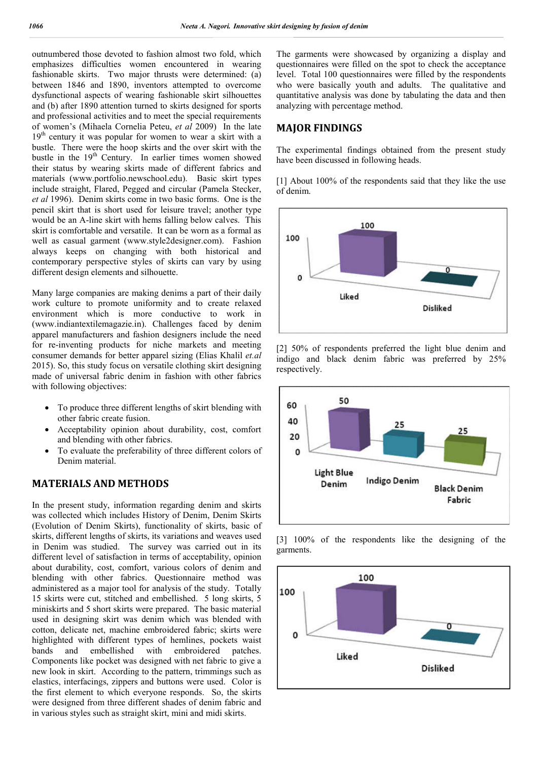outnumbered those devoted to fashion almost two fold, which emphasizes difficulties women encountered in wearing fashionable skirts. Two major thrusts were determined: (a) between 1846 and 1890, inventors attempted to overcome dysfunctional aspects of wearing fashionable skirt silhouettes and (b) after 1890 attention turned to skirts designed for sports and professional activities and to meet the special requirements of women's (Mihaela Cornelia Peteu, *et al* 2009) In the late 19<sup>th</sup> century it was popular for women to wear a skirt with a bustle. There were the hoop skirts and the over skirt with the bustle in the 19<sup>th</sup> Century. In earlier times women showed their status by wearing skirts made of different fabrics and materials (www.portfolio.newschool.edu). Basic skirt types include straight, Flared, Pegged and circular (Pamela Stecker, *et al* 1996). Denim skirts come in two basic forms. One is the pencil skirt that is short used for leisure travel; another type would be an A-line skirt with hems falling below calves. This skirt is comfortable and versatile. It can be worn as a formal as well as casual garment (www.style2designer.com). Fashion always keeps on changing with both historical and contemporary perspective styles of skirts can vary by using different design elements and silhouette.

Many large companies are making denims a part of their daily work culture to promote uniformity and to create relaxed environment which is more conductive to work in (www.indiantextilemagazie.in). Challenges faced by denim apparel manufacturers and fashion designers include the need for re-inventing products for niche markets and meeting consumer demands for better apparel sizing (Elias Khalil *et.al*  2015). So, this study focus on versatile clothing skirt designing made of universal fabric denim in fashion with other fabrics with following objectives:

- To produce three different lengths of skirt blending with other fabric create fusion.
- Acceptability opinion about durability, cost, comfort and blending with other fabrics.
- To evaluate the preferability of three different colors of Denim material.

## **MATERIALS AND METHODS**

In the present study, information regarding denim and skirts was collected which includes History of Denim, Denim Skirts (Evolution of Denim Skirts), functionality of skirts, basic of skirts, different lengths of skirts, its variations and weaves used in Denim was studied. The survey was carried out in its different level of satisfaction in terms of acceptability, opinion about durability, cost, comfort, various colors of denim and blending with other fabrics. Questionnaire method was administered as a major tool for analysis of the study. Totally 15 skirts were cut, stitched and embellished. 5 long skirts, 5 miniskirts and 5 short skirts were prepared. The basic material used in designing skirt was denim which was blended with cotton, delicate net, machine embroidered fabric; skirts were highlighted with different types of hemlines, pockets waist<br>bands and embellished with embroidered patches. and embellished with embroidered patches. Components like pocket was designed with net fabric to give a new look in skirt. According to the pattern, trimmings such as elastics, interfacings, zippers and buttons were used. Color is the first element to which everyone responds. So, the skirts were designed from three different shades of denim fabric and in various styles such as straight skirt, mini and midi skirts.

The garments were showcased by organizing a display and questionnaires were filled on the spot to check the acceptance level. Total 100 questionnaires were filled by the respondents who were basically youth and adults. The qualitative and quantitative analysis was done by tabulating the data and then analyzing with percentage method.

### **MAJOR FINDINGS**

The experimental findings obtained from the present study have been discussed in following heads.

[1] About 100% of the respondents said that they like the use of denim.







[3] 100% of the respondents like the designing of the garments.

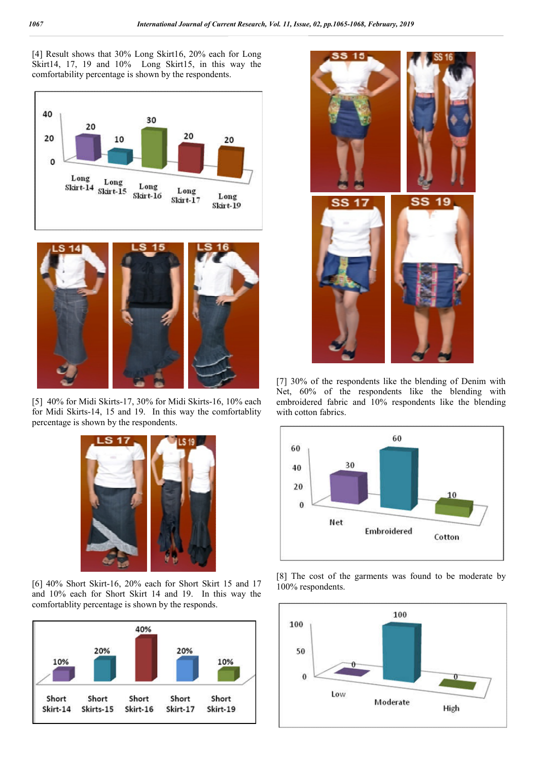[4] Result shows that 30% Long Skirt16, 20% each for Long Skirt14, 17, 19 and 10% Long Skirt15, in this way the comfortability percentage is shown by the respondents.





[5] 40% for Midi Skirts-17, 30% for Midi Skirts-16, 10% each for Midi Skirts-14, 15 and 19. In this way the comfortablity percentage is shown by the respondents.



[6] 40% Short Skirt-16, 20% each for Short Skirt 15 and 17 and 10% each for Short Skirt 14 and 19. In this way the comfortablity percentage is shown by the responds.





[7] 30% of the respondents like the blending of Denim with Net, 60% of the respondents like the blending with embroidered fabric and 10% respondents like the blending with cotton fabrics.



[8] The cost of the garments was found to be moderate by 100% respondents.